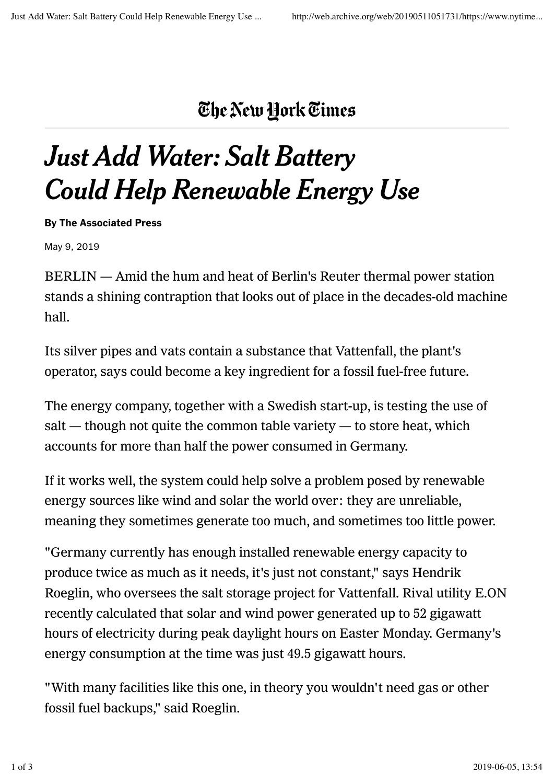## The New Hork Times

## *Just Add Water: Salt Battery Could Help Renewable Energy Use*

By The Associated Press

May 9, 2019

BERLIN — Amid the hum and heat of Berlin's Reuter thermal power station stands a shining contraption that looks out of place in the decades-old machine hall.

Its silver pipes and vats contain a substance that Vattenfall, the plant's operator, says could become a key ingredient for a fossil fuel-free future.

The energy company, together with a Swedish start-up, is testing the use of  $salt$  — though not quite the common table variety — to store heat, which accounts for more than half the power consumed in Germany.

If it works well, the system could help solve a problem posed by renewable energy sources like wind and solar the world over: they are unreliable, meaning they sometimes generate too much, and sometimes too little power.

"Germany currently has enough installed renewable energy capacity to produce twice as much as it needs, it's just not constant," says Hendrik Roeglin, who oversees the salt storage project for Vattenfall. Rival utility E.ON recently calculated that solar and wind power generated up to 52 gigawatt hours of electricity during peak daylight hours on Easter Monday. Germany's energy consumption at the time was just 49.5 gigawatt hours.

"With many facilities like this one, in theory you wouldn't need gas or other fossil fuel backups," said Roeglin.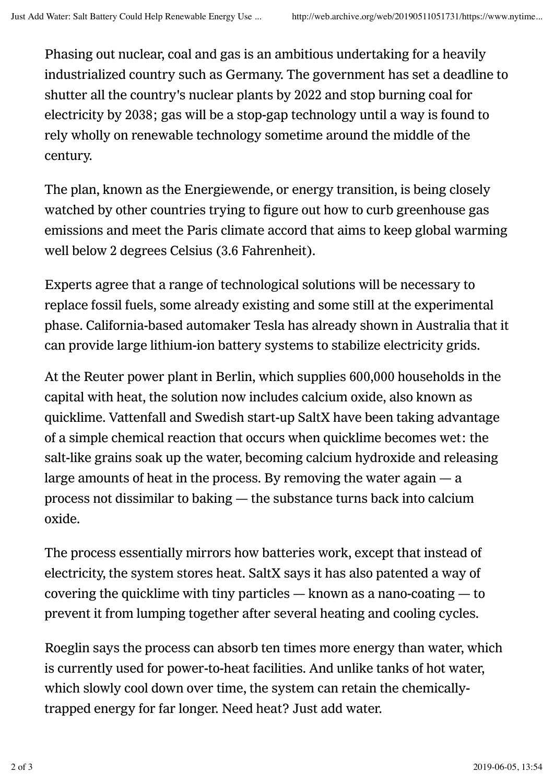Phasing out nuclear, coal and gas is an ambitious undertaking for a heavily industrialized country such as Germany. The government has set a deadline to shutter all the country's nuclear plants by 2022 and stop burning coal for electricity by 2038; gas will be a stop-gap technology until a way is found to rely wholly on renewable technology sometime around the middle of the century.

The plan, known as the Energiewende, or energy transition, is being closely watched by other countries trying to figure out how to curb greenhouse gas emissions and meet the Paris climate accord that aims to keep global warming well below 2 degrees Celsius (3.6 Fahrenheit).

Experts agree that a range of technological solutions will be necessary to replace fossil fuels, some already existing and some still at the experimental phase. California-based automaker Tesla has already shown in Australia that it can provide large lithium-ion battery systems to stabilize electricity grids.

At the Reuter power plant in Berlin, which supplies 600,000 households in the capital with heat, the solution now includes calcium oxide, also known as quicklime. Vattenfall and Swedish start-up SaltX have been taking advantage of a simple chemical reaction that occurs when quicklime becomes wet: the salt-like grains soak up the water, becoming calcium hydroxide and releasing large amounts of heat in the process. By removing the water again  $-$  a process not dissimilar to baking — the substance turns back into calcium oxide.

The process essentially mirrors how batteries work, except that instead of electricity, the system stores heat. SaltX says it has also patented a way of covering the quicklime with tiny particles — known as a nano-coating — to prevent it from lumping together after several heating and cooling cycles.

Roeglin says the process can absorb ten times more energy than water, which is currently used for power-to-heat facilities. And unlike tanks of hot water, which slowly cool down over time, the system can retain the chemicallytrapped energy for far longer. Need heat? Just add water.